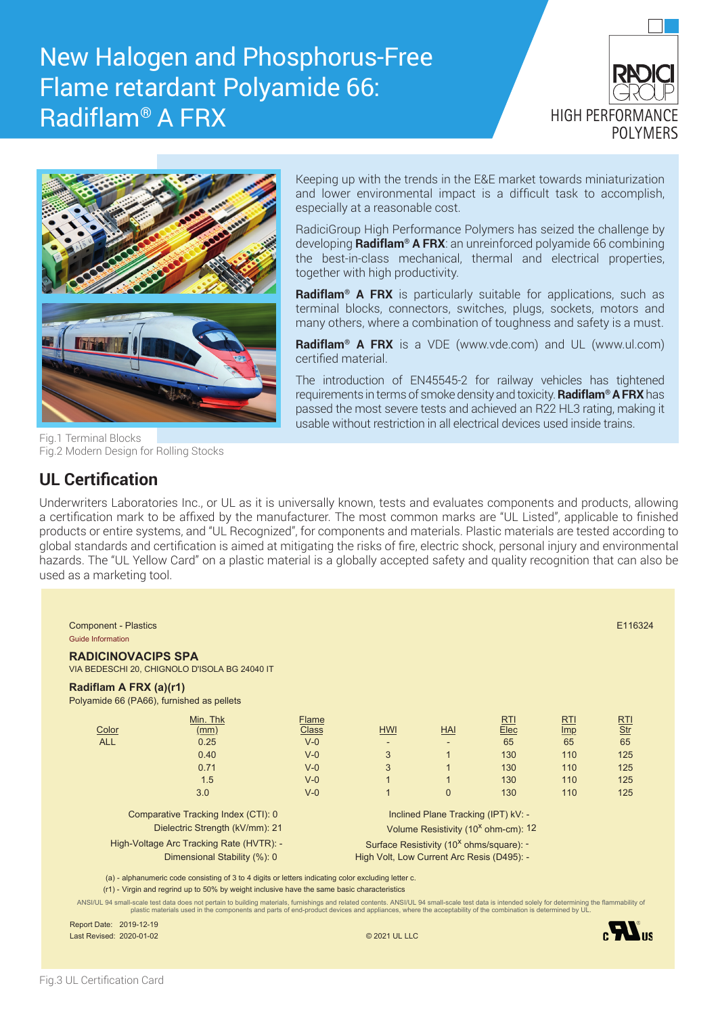# New Halogen and Phosphorus-Free Flame retardant Polyamide 66: Radiflam® A FRX





Keeping up with the trends in the E&E market towards miniaturization and lower environmental impact is a difficult task to accomplish, especially at a reasonable cost.

RadiciGroup High Performance Polymers has seized the challenge by developing **Radiflam® A FRX**: an unreinforced polyamide 66 combining the best-in-class mechanical, thermal and electrical properties, together with high productivity.

**Radiflam® A FRX** is particularly suitable for applications, such as terminal blocks, connectors, switches, plugs, sockets, motors and many others, where a combination of toughness and safety is a must.

**Radiflam® A FRX** is a VDE (www.vde.com) and UL (www.ul.com) certified material.

The introduction of EN45545-2 for railway vehicles has tightened requirements in terms of smoke density and toxicity. **Radiflam® A FRX** has passed the most severe tests and achieved an R22 HL3 rating, making it usable without restriction in all electrical devices used inside trains.

Fig.1 Terminal Blocks Fig.2 Modern Design for Rolling Stocks

#### **UL Certification**

Underwriters Laboratories Inc., or UL as it is universally known, tests and evaluates components and products, allowing a certification mark to be affixed by the manufacturer. The most common marks are "UL Listed", applicable to finished products or entire systems, and "UL Recognized", for components and materials. Plastic materials are tested according to global standards and certification is aimed at mitigating the risks of fire, electric shock, personal injury and environmental hazards. The "UL Yellow Card" on a plastic material is a globally accepted safety and quality recognition that can also be used as a marketing tool.

| <b>Component - Plastics</b><br><b>Guide Information</b> |                                                                                                     |                                            |                                                      |                                     |      |            | E116324                               |
|---------------------------------------------------------|-----------------------------------------------------------------------------------------------------|--------------------------------------------|------------------------------------------------------|-------------------------------------|------|------------|---------------------------------------|
| <b>RADICINOVACIPS SPA</b>                               | VIA BEDESCHI 20, CHIGNOLO D'ISOLA BG 24040 IT                                                       |                                            |                                                      |                                     |      |            |                                       |
| Radiflam A FRX (a)(r1)                                  | Polyamide 66 (PA66), furnished as pellets                                                           |                                            |                                                      |                                     |      |            |                                       |
|                                                         | Min. Thk                                                                                            | <b>Flame</b>                               |                                                      |                                     | RTI  | <b>RTI</b> | $\frac{\text{RTI}}{\text{Str}}$<br>65 |
| Color                                                   | (mm)                                                                                                | <b>Class</b>                               | <b>HWI</b>                                           | <b>HAI</b>                          | Elec | Imp        |                                       |
| <b>ALL</b>                                              | 0.25                                                                                                | $V-0$                                      |                                                      |                                     | 65   | 65         |                                       |
|                                                         | 0.40                                                                                                | $V - 0$                                    | 3                                                    |                                     | 130  | 110        | 125                                   |
|                                                         | 0.71                                                                                                | $V - 0$                                    | 3                                                    |                                     | 130  | 110        | 125                                   |
|                                                         | 1.5                                                                                                 | $V - 0$                                    |                                                      |                                     | 130  | 110        | 125                                   |
|                                                         | 3.0                                                                                                 | $V - 0$                                    |                                                      | $\overline{0}$                      | 130  | 110        | 125                                   |
|                                                         | Comparative Tracking Index (CTI): 0                                                                 |                                            |                                                      | Inclined Plane Tracking (IPT) kV: - |      |            |                                       |
| Dielectric Strength (kV/mm): 21                         |                                                                                                     |                                            | Volume Resistivity (10 <sup>x</sup> ohm-cm): 12      |                                     |      |            |                                       |
| High-Voltage Arc Tracking Rate (HVTR): -                |                                                                                                     |                                            | Surface Resistivity (10 <sup>x</sup> ohms/square): - |                                     |      |            |                                       |
| Dimensional Stability (%): 0                            |                                                                                                     | High Volt, Low Current Arc Resis (D495): - |                                                      |                                     |      |            |                                       |
|                                                         | (a) - alphanumeric code consisting of 3 to 4 digits or letters indicating color excluding letter c. |                                            |                                                      |                                     |      |            |                                       |
|                                                         | (r1) - Virgin and regrind up to 50% by weight inclusive have the same basic characteristics         |                                            |                                                      |                                     |      |            |                                       |

Report Date: 2019-12-19 Last Revised: 2020-01-02 © 2021 UL LLC